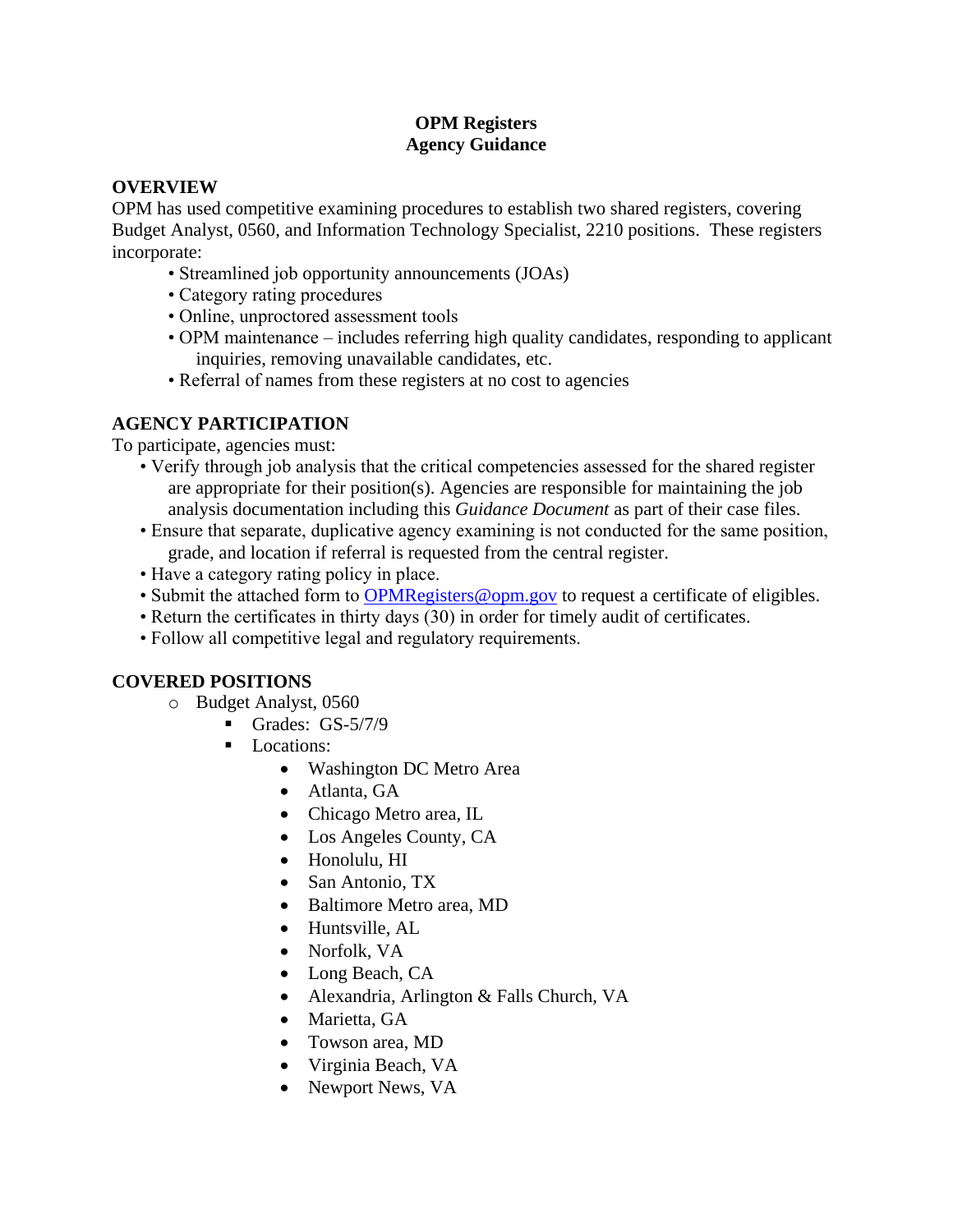# **OPM Registers Agency Guidance**

## **OVERVIEW**

OPM has used competitive examining procedures to establish two shared registers, covering Budget Analyst, 0560, and Information Technology Specialist, 2210 positions. These registers incorporate:

- Streamlined job opportunity announcements (JOAs)
- Category rating procedures
- Online, unproctored assessment tools
- OPM maintenance includes referring high quality candidates, responding to applicant inquiries, removing unavailable candidates, etc.
- Referral of names from these registers at no cost to agencies

# **AGENCY PARTICIPATION**

To participate, agencies must:

- Verify through job analysis that the critical competencies assessed for the shared register are appropriate for their position(s). Agencies are responsible for maintaining the job analysis documentation including this *Guidance Document* as part of their case files.
- Ensure that separate, duplicative agency examining is not conducted for the same position, grade, and location if referral is requested from the central register.
- Have a category rating policy in place.
- Submit the attached form to [OPMRegisters@opm.gov](mailto:OPMRegisters@opm.gov) to request a certificate of eligibles.
- Return the certificates in thirty days (30) in order for timely audit of certificates.
- Follow all competitive legal and regulatory requirements.

# **COVERED POSITIONS**

- o Budget Analyst, 0560
	- Grades:  $GS-5/7/9$
	- Locations:
		- Washington DC Metro Area
		- Atlanta, GA
		- Chicago Metro area, IL
		- Los Angeles County, CA
		- Honolulu, HI
		- San Antonio, TX
		- Baltimore Metro area, MD
		- Huntsville, AL
		- Norfolk, VA
		- Long Beach, CA
		- Alexandria, Arlington & Falls Church, VA
		- Marietta, GA
		- Towson area, MD
		- Virginia Beach, VA
		- Newport News, VA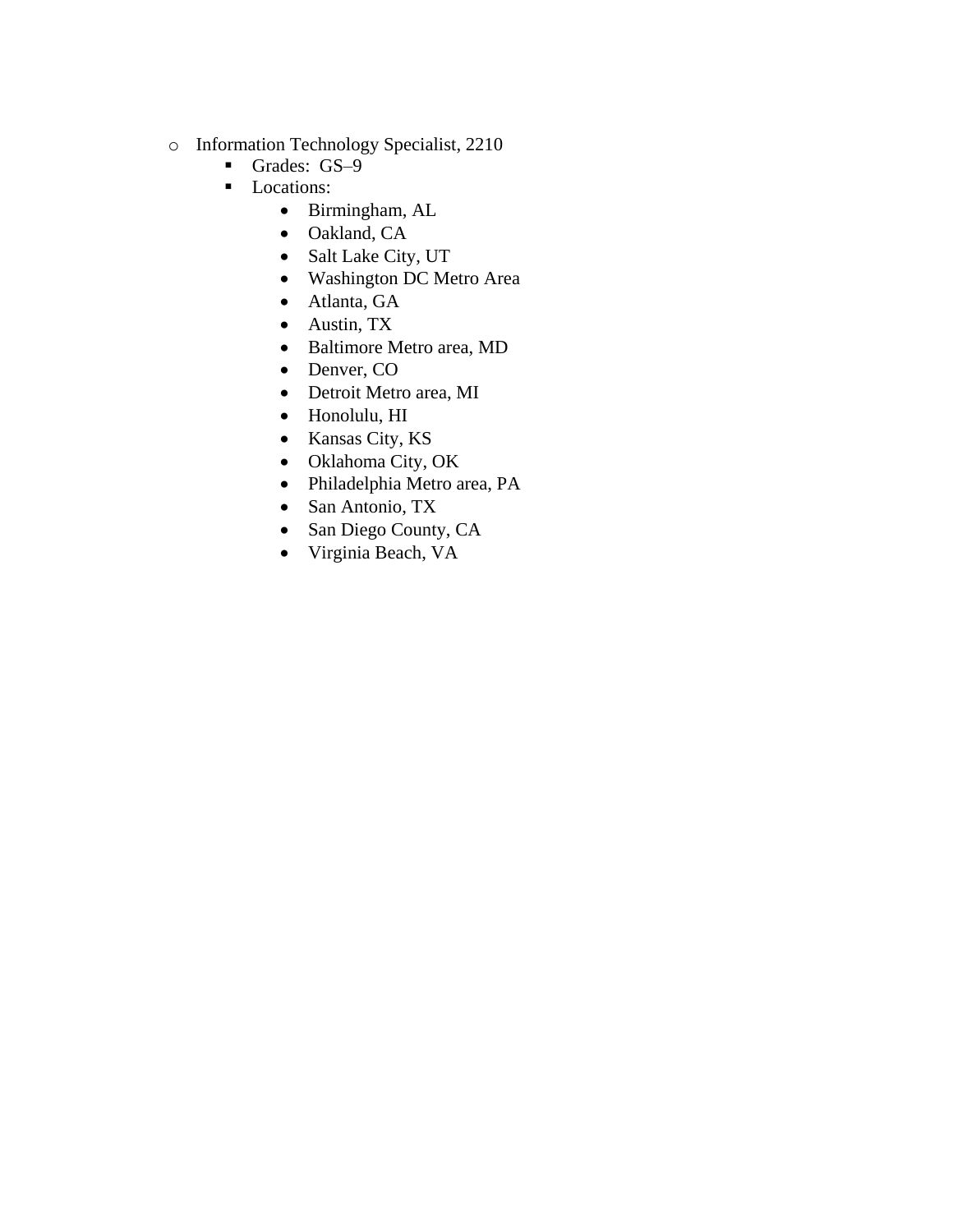- o Information Technology Specialist, 2210
	- Grades: GS-9
	- Locations:
		- Birmingham, AL
		- Oakland, CA
		- Salt Lake City, UT
		- Washington DC Metro Area
		- Atlanta, GA
		- Austin, TX
		- Baltimore Metro area, MD
		- Denver, CO
		- Detroit Metro area, MI
		- Honolulu, HI
		- Kansas City, KS
		- Oklahoma City, OK
		- Philadelphia Metro area, PA
		- San Antonio, TX
		- San Diego County, CA
		- Virginia Beach, VA